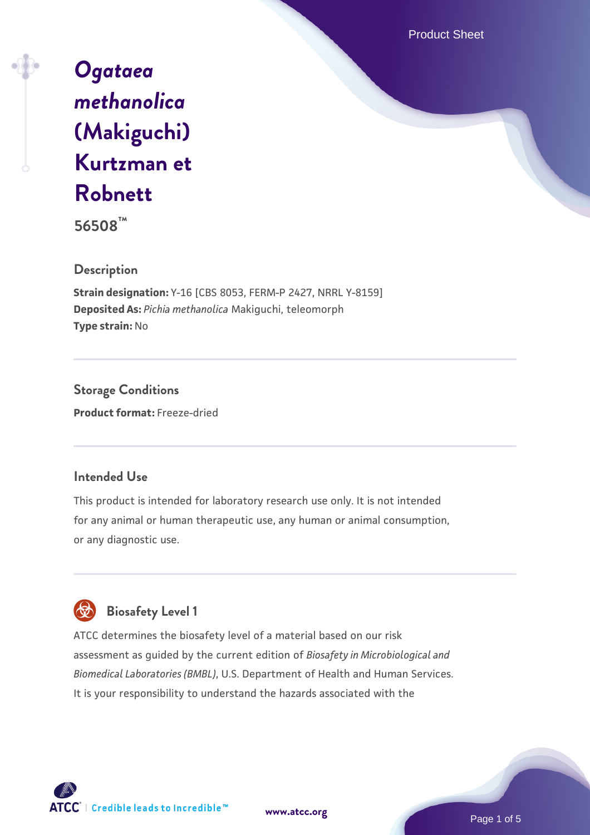Product Sheet

# *[Ogataea](https://www.atcc.org/products/56508) [methanolica](https://www.atcc.org/products/56508)* **[\(Makiguchi\)](https://www.atcc.org/products/56508) [Kurtzman et](https://www.atcc.org/products/56508) [Robnett](https://www.atcc.org/products/56508)**

**56508™**

# **Description**

**Strain designation:** Y-16 [CBS 8053, FERM-P 2427, NRRL Y-8159] **Deposited As:** *Pichia methanolica* Makiguchi, teleomorph **Type strain:** No

**Storage Conditions Product format:** Freeze-dried

# **Intended Use**

This product is intended for laboratory research use only. It is not intended for any animal or human therapeutic use, any human or animal consumption, or any diagnostic use.

# **Biosafety Level 1**

ATCC determines the biosafety level of a material based on our risk assessment as guided by the current edition of *Biosafety in Microbiological and Biomedical Laboratories (BMBL)*, U.S. Department of Health and Human Services. It is your responsibility to understand the hazards associated with the



**[www.atcc.org](http://www.atcc.org)**

Page 1 of 5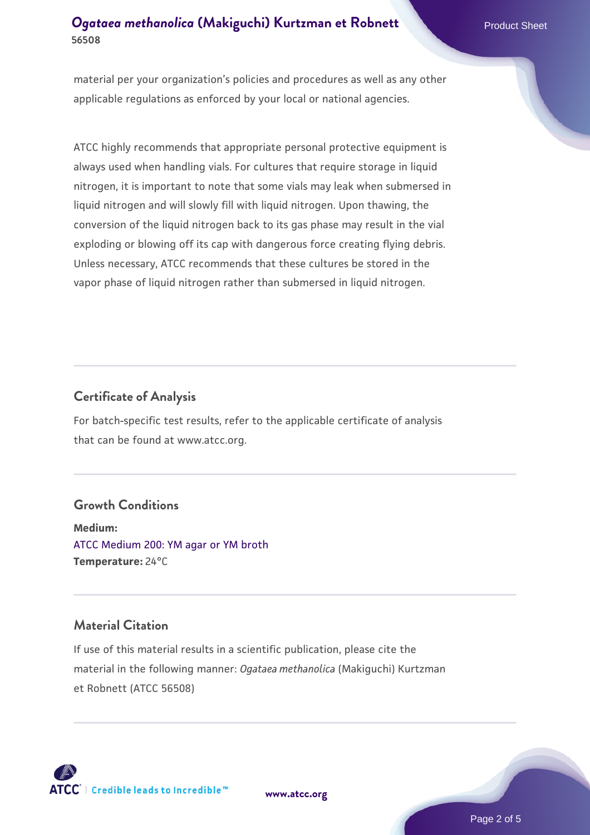# *[Ogataea methanolica](https://www.atcc.org/products/56508)* **[\(Makiguchi\) Kurtzman et Robnett](https://www.atcc.org/products/56508) Product Sheet 56508**

material per your organization's policies and procedures as well as any other applicable regulations as enforced by your local or national agencies.

ATCC highly recommends that appropriate personal protective equipment is always used when handling vials. For cultures that require storage in liquid nitrogen, it is important to note that some vials may leak when submersed in liquid nitrogen and will slowly fill with liquid nitrogen. Upon thawing, the conversion of the liquid nitrogen back to its gas phase may result in the vial exploding or blowing off its cap with dangerous force creating flying debris. Unless necessary, ATCC recommends that these cultures be stored in the vapor phase of liquid nitrogen rather than submersed in liquid nitrogen.

#### **Certificate of Analysis**

For batch-specific test results, refer to the applicable certificate of analysis that can be found at www.atcc.org.

#### **Growth Conditions**

**Medium:**  [ATCC Medium 200: YM agar or YM broth](https://www.atcc.org/-/media/product-assets/documents/microbial-media-formulations/2/0/0/atcc-medium-200.pdf?rev=ac40fd74dc13433a809367b0b9da30fc) **Temperature:** 24°C

#### **Material Citation**

If use of this material results in a scientific publication, please cite the material in the following manner: *Ogataea methanolica* (Makiguchi) Kurtzman et Robnett (ATCC 56508)



**[www.atcc.org](http://www.atcc.org)**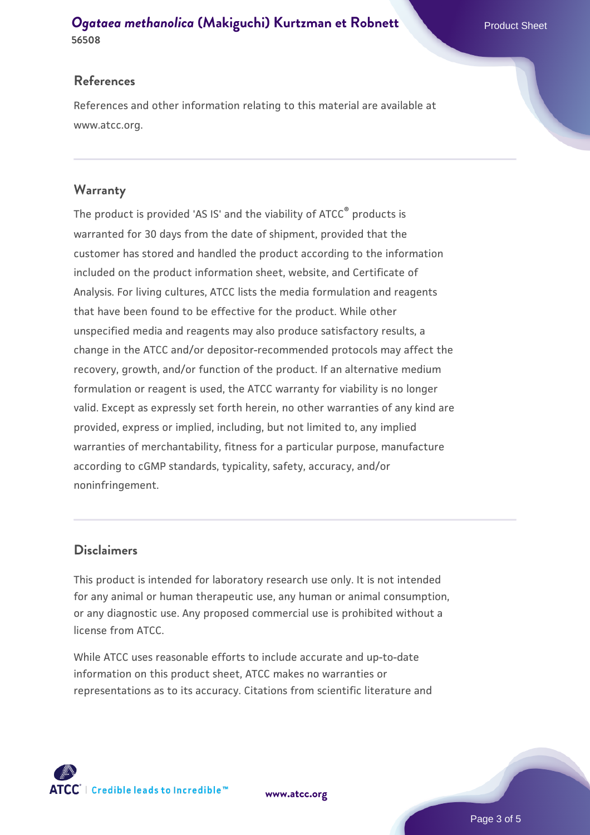## *[Ogataea methanolica](https://www.atcc.org/products/56508)* **[\(Makiguchi\) Kurtzman et Robnett](https://www.atcc.org/products/56508) Product Sheet 56508**

## **References**

References and other information relating to this material are available at www.atcc.org.

## **Warranty**

The product is provided 'AS IS' and the viability of ATCC® products is warranted for 30 days from the date of shipment, provided that the customer has stored and handled the product according to the information included on the product information sheet, website, and Certificate of Analysis. For living cultures, ATCC lists the media formulation and reagents that have been found to be effective for the product. While other unspecified media and reagents may also produce satisfactory results, a change in the ATCC and/or depositor-recommended protocols may affect the recovery, growth, and/or function of the product. If an alternative medium formulation or reagent is used, the ATCC warranty for viability is no longer valid. Except as expressly set forth herein, no other warranties of any kind are provided, express or implied, including, but not limited to, any implied warranties of merchantability, fitness for a particular purpose, manufacture according to cGMP standards, typicality, safety, accuracy, and/or noninfringement.

### **Disclaimers**

This product is intended for laboratory research use only. It is not intended for any animal or human therapeutic use, any human or animal consumption, or any diagnostic use. Any proposed commercial use is prohibited without a license from ATCC.

While ATCC uses reasonable efforts to include accurate and up-to-date information on this product sheet, ATCC makes no warranties or representations as to its accuracy. Citations from scientific literature and



**[www.atcc.org](http://www.atcc.org)**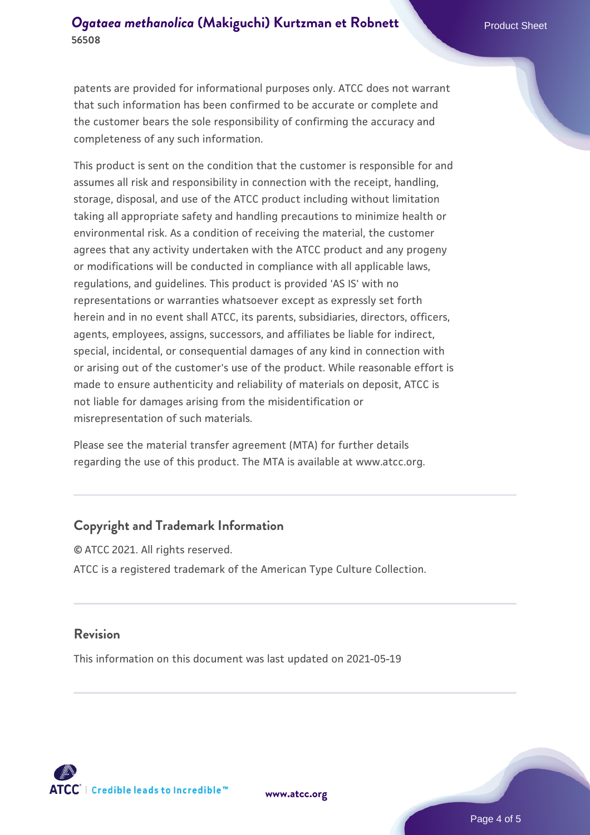patents are provided for informational purposes only. ATCC does not warrant that such information has been confirmed to be accurate or complete and the customer bears the sole responsibility of confirming the accuracy and completeness of any such information.

This product is sent on the condition that the customer is responsible for and assumes all risk and responsibility in connection with the receipt, handling, storage, disposal, and use of the ATCC product including without limitation taking all appropriate safety and handling precautions to minimize health or environmental risk. As a condition of receiving the material, the customer agrees that any activity undertaken with the ATCC product and any progeny or modifications will be conducted in compliance with all applicable laws, regulations, and guidelines. This product is provided 'AS IS' with no representations or warranties whatsoever except as expressly set forth herein and in no event shall ATCC, its parents, subsidiaries, directors, officers, agents, employees, assigns, successors, and affiliates be liable for indirect, special, incidental, or consequential damages of any kind in connection with or arising out of the customer's use of the product. While reasonable effort is made to ensure authenticity and reliability of materials on deposit, ATCC is not liable for damages arising from the misidentification or misrepresentation of such materials.

Please see the material transfer agreement (MTA) for further details regarding the use of this product. The MTA is available at www.atcc.org.

#### **Copyright and Trademark Information**

© ATCC 2021. All rights reserved. ATCC is a registered trademark of the American Type Culture Collection.

#### **Revision**

This information on this document was last updated on 2021-05-19



**[www.atcc.org](http://www.atcc.org)**